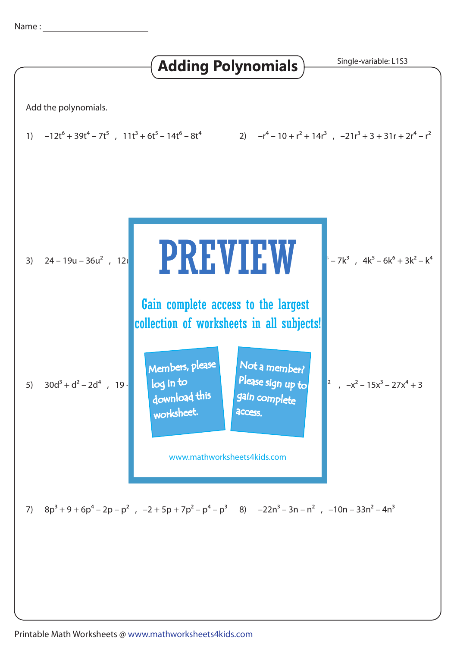